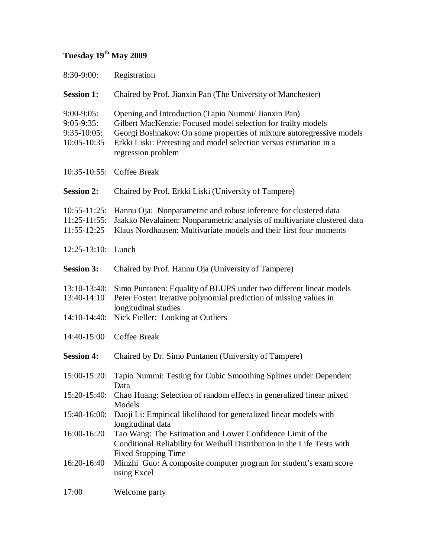## **Tuesday 19th May 2009**

| 8:30-9:00:                                                        | Registration                                                                                                                                                                                                                                                                              |
|-------------------------------------------------------------------|-------------------------------------------------------------------------------------------------------------------------------------------------------------------------------------------------------------------------------------------------------------------------------------------|
| <b>Session 1:</b>                                                 | Chaired by Prof. Jianxin Pan (The University of Manchester)                                                                                                                                                                                                                               |
| $9:00 - 9:05$ :<br>$9:05-9:35$ :<br>$9:35-10:05$ :<br>10:05-10:35 | Opening and Introduction (Tapio Nummi/ Jianxin Pan)<br>Gilbert MacKenzie: Focused model selection for frailty models<br>Georgi Boshnakov: On some properties of mixture autoregressive models<br>Erkki Liski: Pretesting and model selection versus estimation in a<br>regression problem |
| $10:35-10:55$ :                                                   | <b>Coffee Break</b>                                                                                                                                                                                                                                                                       |
| <b>Session 2:</b>                                                 | Chaired by Prof. Erkki Liski (University of Tampere)                                                                                                                                                                                                                                      |
| $10:55 - 11:25$ :<br>$11:25-11:55$ :<br>$11:55-12:25$             | Hannu Oja: Nonparametric and robust inference for clustered data<br>Jaakko Nevalainen: Nonparametric analysis of multivariate clustered data<br>Klaus Nordhausen: Multivariate models and their first four moments                                                                        |
| $12:25-13:10:$                                                    | Lunch                                                                                                                                                                                                                                                                                     |
| <b>Session 3:</b>                                                 | Chaired by Prof. Hannu Oja (University of Tampere)                                                                                                                                                                                                                                        |
| $13:10-13:40:$<br>13:40-14:10<br>$14:10-14:40:$                   | Simo Puntanen: Equality of BLUPS under two different linear models<br>Peter Foster: Iterative polynomial prediction of missing values in<br>longitudinal studies<br>Nick Fieller: Looking at Outliers                                                                                     |
| 14:40-15:00                                                       | Coffee Break                                                                                                                                                                                                                                                                              |
| <b>Session 4:</b>                                                 | Chaired by Dr. Simo Puntanen (University of Tampere)                                                                                                                                                                                                                                      |
| $15:00-15:20$ :                                                   | Tapio Nummi: Testing for Cubic Smoothing Splines under Dependent<br>Data                                                                                                                                                                                                                  |
| $15:20-15:40:$                                                    | Chao Huang: Selection of random effects in generalized linear mixed<br>Models                                                                                                                                                                                                             |
| $15:40-16:00$ :                                                   | Daoji Li: Empirical likelihood for generalized linear models with<br>longitudinal data                                                                                                                                                                                                    |
| 16:00-16:20                                                       | Tao Wang: The Estimation and Lower Confidence Limit of the<br>Conditional Reliability for Weibull Distribution in the Life Tests with<br><b>Fixed Stopping Time</b>                                                                                                                       |
| 16:20-16:40                                                       | Minzhi Guo: A composite computer program for student's exam score<br>using Excel                                                                                                                                                                                                          |
| 17:00                                                             | Welcome party                                                                                                                                                                                                                                                                             |